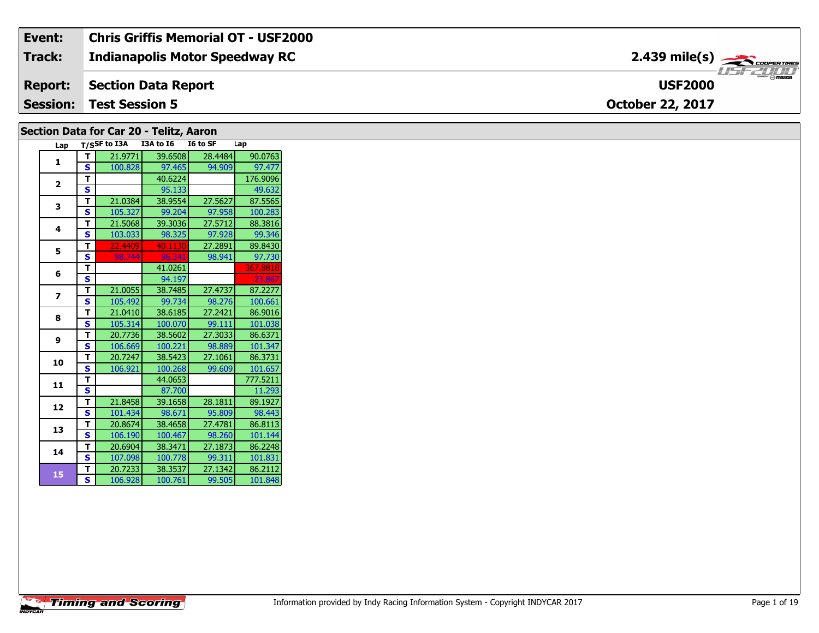| Event:          | <b>Chris Griffis Memorial OT - USF2000</b> |                                                                                                                                                |
|-----------------|--------------------------------------------|------------------------------------------------------------------------------------------------------------------------------------------------|
| Track:          | <b>Indianapolis Motor Speedway RC</b>      | $2.439$ mile(s) $\overbrace{\hspace{2.5cm}}$ coorganges                                                                                        |
| <b>Report:</b>  | Section Data Report                        | $\overbrace{\hspace{4.5cm}}^{\hspace{4.5cm}\longrightarrow\hspace{1.5cm}\hspace{1.5cm}} \mathsf{maxor} \odot \mathsf{maxna}$<br><b>USF2000</b> |
| <b>Session:</b> | <b>Test Session 5</b>                      | <b>October 22, 2017</b>                                                                                                                        |

### **Section Data for Car 20 - Telitz, Aaron**

| Lap            | $T/S$ SF to I3A |         | I3A to I6 | I6 to SF | Lap      |
|----------------|-----------------|---------|-----------|----------|----------|
| 1              | т               | 21.9771 | 39.6508   | 28.4484  | 90.0763  |
|                | S               | 100.828 | 97.465    | 94.909   | 97.477   |
| $\overline{2}$ | T               |         | 40.6224   |          | 176.9096 |
|                | S               |         | 95.133    |          | 49.632   |
| 3              | T               | 21.0384 | 38.9554   | 27.5627  | 87.5565  |
|                | S               | 105.327 | 99.204    | 97.958   | 100.283  |
| 4              | T               | 21.5068 | 39.3036   | 27.5712  | 88.3816  |
|                | S               | 103.033 | 98.325    | 97.928   | 99.346   |
| 5              | T               | 22.4409 | 40.1130   | 27.2891  | 89.8430  |
|                | S               | 98.744  | 96.341    | 98.941   | 97.730   |
| 6              | T               |         | 41.0261   |          | 367.8818 |
|                | S               |         | 94.197    |          | 23.867   |
| 7              | т               | 21.0055 | 38.7485   | 27.4737  | 87.2277  |
|                | S               | 105.492 | 99.734    | 98.276   | 100.661  |
| 8              | т               | 21.0410 | 38.6185   | 27.2421  | 86.9016  |
|                | S               | 105.314 | 100.070   | 99.111   | 101.038  |
| 9              | T               | 20.7736 | 38.5602   | 27.3033  | 86.6371  |
|                | S               | 106.669 | 100.221   | 98.889   | 101.347  |
| 10             | T               | 20.7247 | 38.5423   | 27.1061  | 86.3731  |
|                | S               | 106.921 | 100.268   | 99.609   | 101.657  |
| 11             | T               |         | 44.0653   |          | 777.5211 |
|                | Ś               |         | 87.700    |          | 11.293   |
| 12             | т               | 21.8458 | 39.1658   | 28.1811  | 89.1927  |
|                | S               | 101.434 | 98.671    | 95.809   | 98.443   |
| 13             | T               | 20.8674 | 38.4658   | 27.4781  | 86.8113  |
|                | S               | 106.190 | 100.467   | 98.260   | 101.144  |
| 14             | т               | 20.6904 | 38.3471   | 27.1873  | 86.2248  |
|                | S               | 107.098 | 100.778   | 99.311   | 101.831  |
| 15             | T               | 20.7233 | 38.3537   | 27.1342  | 86.2112  |
|                | S.              | 106.928 | 100.761   | 99.505   | 101.848  |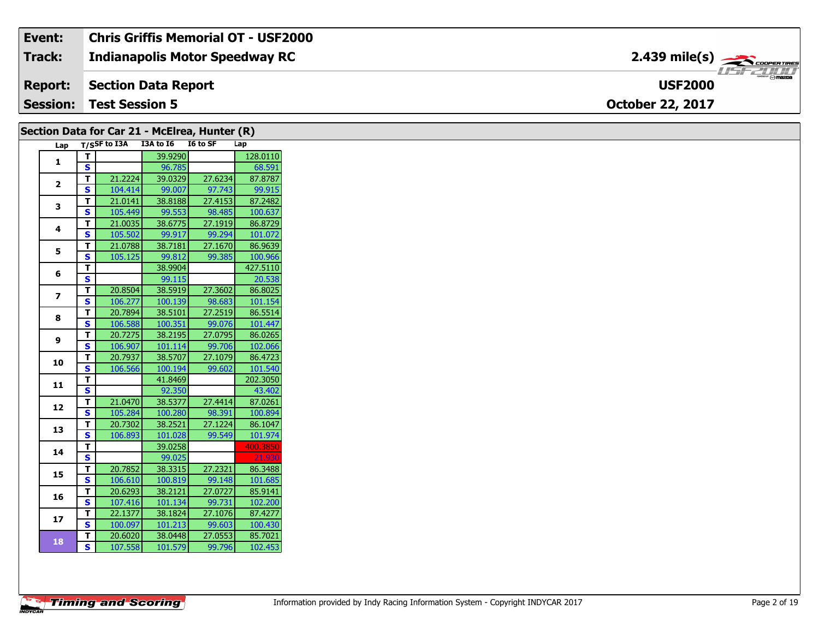### Event: **Chris Griffis Memorial OT - USF2000** 2.439 mile(s) **Track: Indianapolis Motor Speedway RC Report: Section Data Report USF2000 Session:** Test Session 5 October 22, 2017

# Section Data for Car 21 - McElrea, Hunter (R)

| Lap                     |                         | T/S5F to I3A | <b>I3A to 16</b> | I6 to SF | Lap      |
|-------------------------|-------------------------|--------------|------------------|----------|----------|
| 1                       | т                       |              | 39.9290          |          | 128.0110 |
|                         | Ś                       |              | 96.785           |          | 68.591   |
|                         | T                       | 21.2224      | 39.0329          | 27.6234  | 87.8787  |
| $\overline{\mathbf{2}}$ | S                       | 104.414      | 99.007           | 97.743   | 99.915   |
| 3                       | T                       | 21.0141      | 38.8188          | 27.4153  | 87.2482  |
|                         | S                       | 105.449      | 99.553           | 98.485   | 100.637  |
| 4                       | T                       | 21.0035      | 38.6775          | 27.1919  | 86.8729  |
|                         | S                       | 105.502      | 99.917           | 99.294   | 101.072  |
| 5                       | T                       | 21.0788      | 38.7181          | 27.1670  | 86.9639  |
|                         | S                       | 105.125      | 99.812           | 99.385   | 100.966  |
| 6                       | т                       |              | 38.9904          |          | 427.5110 |
|                         | S                       |              | 99.115           |          | 20.538   |
| 7                       | т                       | 20.8504      | 38.5919          | 27.3602  | 86.8025  |
|                         | S                       | 106.277      | 100.139          | 98.683   | 101.154  |
| 8                       | T                       | 20.7894      | 38.5101          | 27.2519  | 86.5514  |
|                         | S                       | 106.588      | 100.351          | 99.076   | 101.447  |
| 9                       | T                       | 20.7275      | 38.2195          | 27.0795  | 86.0265  |
|                         | S                       | 106.907      | 101.114          | 99.706   | 102.066  |
| 10                      | т                       | 20.7937      | 38.5707          | 27.1079  | 86.4723  |
|                         | S                       | 106.566      | 100.194          | 99.602   | 101.540  |
| 11                      | т                       |              | 41.8469          |          | 202.3050 |
|                         | S                       |              | 92.350           |          | 43.402   |
| 12                      | Т                       | 21.0470      | 38.5377          | 27.4414  | 87.0261  |
|                         | $\overline{\mathbf{s}}$ | 105.284      | 100.280          | 98.391   | 100.894  |
| 13                      | т                       | 20.7302      | 38.2521          | 27.1224  | 86.1047  |
|                         | S                       | 106.893      | 101.028          | 99.549   | 101.974  |
| 14                      | т                       |              | 39.0258          |          | 400.3850 |
|                         | S                       |              | 99.025           |          | 21.930   |
| 15                      | т                       | 20.7852      | 38.3315          | 27.2321  | 86.3488  |
|                         | S                       | 106.610      | 100.819          | 99.148   | 101.685  |
| 16                      | т                       | 20.6293      | 38.2121          | 27.0727  | 85.9141  |
|                         | S                       | 107.416      | 101.134          | 99.731   | 102.200  |
| 17                      | T                       | 22.1377      | 38.1824          | 27.1076  | 87.4277  |
|                         | S                       | 100.097      | 101.213          | 99.603   | 100.430  |
| 18                      | Т                       | 20.6020      | 38.0448          | 27.0553  | 85.7021  |
|                         | $\overline{\mathbf{s}}$ | 107.558      | 101.579          | 99.796   | 102.453  |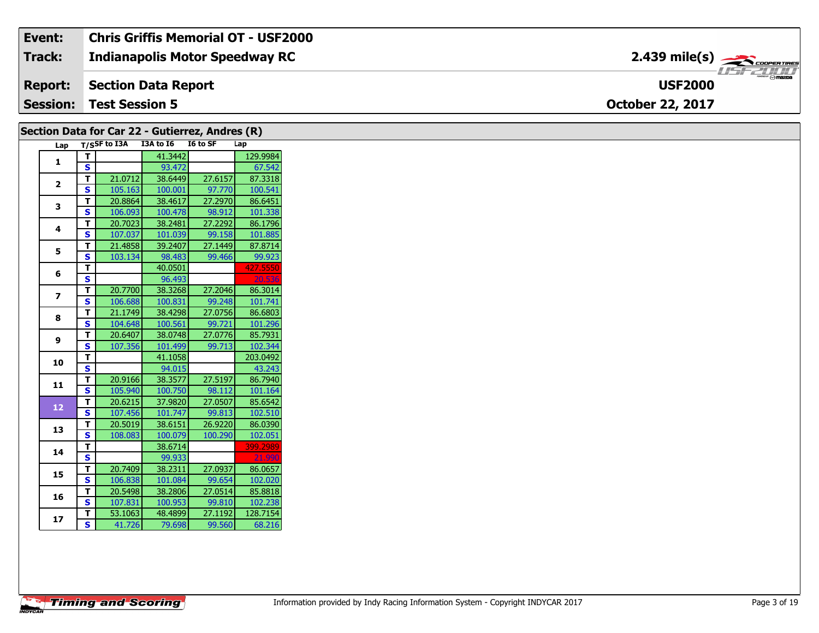| Event: | <b>Chris Griffis Memorial OT - USF2000</b> |                                                           |
|--------|--------------------------------------------|-----------------------------------------------------------|
| Track: | Indianapolis Motor Speedway RC             | $2.439$ mile(s) $\overbrace{\hspace{2.5cm}}$ coorer TIRES |
|        | <b>Report:</b> Section Data Report         | <b><i>POWERE PO mazna</i></b><br><b>USF2000</b>           |
|        | <b>Session: Test Session 5</b>             | <b>October 22, 2017</b>                                   |

|                         |                         |                  | Section Data for Car 22 - Gutierrez, Andres (R) |          |          |
|-------------------------|-------------------------|------------------|-------------------------------------------------|----------|----------|
|                         |                         | Lap T/SSF to I3A | I3A to I6                                       | I6 to SF | Lap      |
| 1                       | T.                      |                  | 41.3442                                         |          | 129.9984 |
|                         | S                       |                  | 93.472                                          |          | 67.542   |
| $\mathbf{2}$            | T.                      | 21.0712          | 38.6449                                         | 27.6157  | 87.3318  |
|                         | S.                      | 105.163          | 100.001                                         | 97.770   | 100.541  |
| 3                       | T.                      | 20.8864          | 38.4617                                         | 27.2970  | 86.6451  |
|                         | S.                      | 106.093          | 100.478                                         | 98.912   | 101.338  |
| 4                       | T.                      | 20.7023          | 38.2481                                         | 27.2292  | 86.1796  |
|                         | S                       | 107.037          | 101.039                                         | 99.158   | 101.885  |
| 5                       | T.                      | 21.4858          | 39.2407                                         | 27.1449  | 87.8714  |
|                         | S.                      | 103.134          | 98.483                                          | 99.466   | 99.923   |
| 6                       | T.                      |                  | 40.0501                                         |          | 427.5550 |
|                         | S                       |                  | 96.493                                          |          | 20.536   |
| $\overline{\mathbf{z}}$ | T.                      | 20.7700          | 38.3268                                         | 27.2046  | 86.3014  |
|                         | S.                      | 106.688          | 100.831                                         | 99.248   | 101.741  |
| 8                       | Τ.                      | 21.1749          | 38.4298                                         | 27.0756  | 86.6803  |
|                         | S.                      | 104.648          | 100.561                                         | 99.721   | 101.296  |
| 9                       | T.                      | 20.6407          | 38.0748                                         | 27.0776  | 85.7931  |
|                         | S                       | 107.356          | 101.499                                         | 99.713   | 102.344  |
| 10                      | T.                      |                  | 41.1058                                         |          | 203.0492 |
|                         | S.                      |                  | 94.015                                          |          | 43.243   |
| 11                      | T.                      | 20.9166          | 38.3577                                         | 27.5197  | 86.7940  |
|                         | S.                      | 105.940          | 100.750                                         | 98.112   | 101.164  |
| 12                      | T.                      | 20.6215          | 37.9820                                         | 27.0507  | 85.6542  |
|                         | S.                      | 107.456          | 101.747                                         | 99.813   | 102.510  |
| 13                      | T.                      | 20.5019          | 38.6151                                         | 26.9220  | 86.0390  |
|                         | S                       | 108.083          | 100.079                                         | 100.290  | 102.051  |
| 14                      | T.                      |                  | 38.6714                                         |          | 399.2989 |
|                         | $\overline{\mathbf{s}}$ |                  | 99.933                                          |          | 21.990   |
| 15                      | T.                      | 20.7409          | 38.2311                                         | 27.0937  | 86.0657  |
|                         | S.                      | 106.838          | 101.084                                         | 99.654   | 102.020  |
| 16                      | T.                      | 20.5498          | 38.2806                                         | 27.0514  | 85.8818  |
|                         | S                       | 107.831          | 100.953                                         | 99.810   | 102.238  |
| 17                      | T.                      | 53.1063          | 48.4899                                         | 27.1192  | 128.7154 |
|                         | $\overline{\mathbf{s}}$ | 41.726           | 79.698                                          | 99.560   | 68.216   |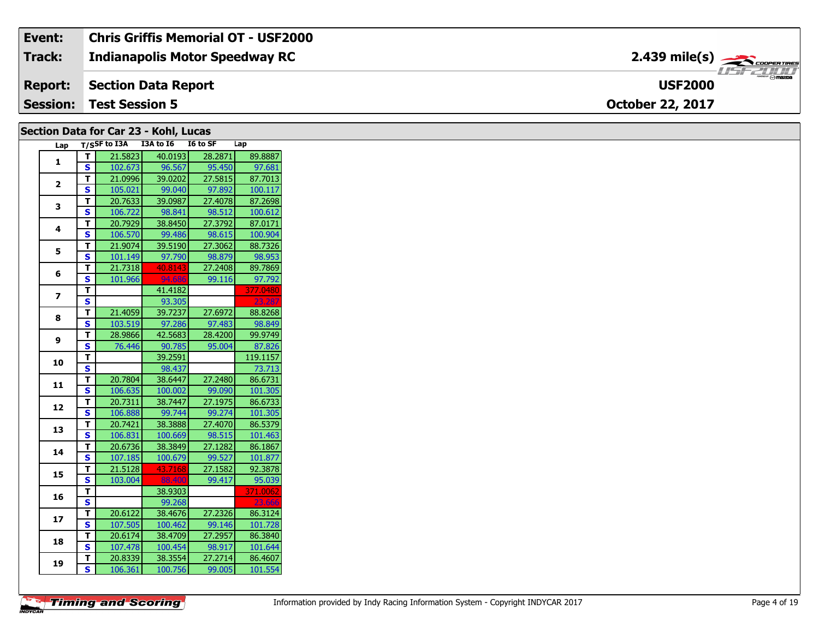| Event:          | <b>Chris Griffis Memorial OT - USF2000</b> |                                            |
|-----------------|--------------------------------------------|--------------------------------------------|
| <b>Track:</b>   | Indianapolis Motor Speedway RC             |                                            |
| <b>Report:</b>  | Section Data Report                        | $\overline{\phantom{m}}$<br><b>USF2000</b> |
| <b>Session:</b> | <b>Test Session 5</b>                      | <b>October 22, 2017</b>                    |

### Section Data for Car 23 - Kohl, Lucas

| Lap                     | $T/S$ SF to I3A         |         | I3A to I6 | I6 to SF | Lap      |
|-------------------------|-------------------------|---------|-----------|----------|----------|
| 1                       | т                       | 21.5823 | 40.0193   | 28.2871  | 89.8887  |
|                         | S                       | 102.673 | 96.567    | 95.450   | 97.681   |
|                         | T                       | 21.0996 | 39.0202   | 27.5815  | 87.7013  |
| $\overline{2}$          | $\overline{\mathbf{s}}$ | 105.021 | 99.040    | 97.892   | 100.117  |
| 3                       | T                       | 20.7633 | 39.0987   | 27.4078  | 87.2698  |
|                         | S                       | 106.722 | 98.841    | 98.512   | 100.612  |
| 4                       | т                       | 20.7929 | 38.8450   | 27.3792  | 87.0171  |
|                         | S                       | 106.570 | 99.486    | 98.615   | 100.904  |
| 5                       | т                       | 21.9074 | 39.5190   | 27.3062  | 88.7326  |
|                         | S                       | 101.149 | 97.790    | 98.879   | 98.953   |
|                         | т                       | 21.7318 | 40.8143   | 27.2408  | 89.7869  |
| 6                       | Ś                       | 101.966 | 94.686    | 99.116   | 97.792   |
|                         | T                       |         | 41.4182   |          | 377.0480 |
| $\overline{\mathbf{z}}$ | S                       |         | 93.305    |          | 23.287   |
|                         | T                       | 21.4059 | 39.7237   | 27.6972  | 88.8268  |
| 8                       | S                       | 103.519 | 97.286    | 97.483   | 98.849   |
|                         | T                       | 28.9866 | 42.5683   | 28.4200  | 99.9749  |
| 9                       | S                       | 76.446  | 90.785    | 95.004   | 87.826   |
|                         | т                       |         | 39.2591   |          | 119.1157 |
| 10                      | S                       |         | 98.437    |          | 73.713   |
|                         | T.                      | 20.7804 | 38.6447   | 27.2480  | 86.6731  |
| 11                      | S                       | 106.635 | 100.002   | 99.090   | 101.305  |
|                         | т                       | 20.7311 | 38.7447   | 27.1975  | 86.6733  |
| 12                      | $\overline{\mathbf{s}}$ | 106.888 | 99.744    | 99.274   | 101.305  |
| 13                      | T                       | 20.7421 | 38.3888   | 27.4070  | 86.5379  |
|                         | $\overline{\mathbf{s}}$ | 106.831 | 100.669   | 98.515   | 101.463  |
| 14                      | T                       | 20.6736 | 38.3849   | 27.1282  | 86.1867  |
|                         | $\overline{\mathbf{s}}$ | 107.185 | 100.679   | 99.527   | 101.877  |
| 15                      | T                       | 21.5128 | 43.7168   | 27.1582  | 92.3878  |
|                         | S                       | 103.004 | 88.400    | 99.417   | 95.039   |
| 16                      | т                       |         | 38.9303   |          | 371.0062 |
|                         | S                       |         | 99.268    |          | 23.666   |
| 17                      | T.                      | 20.6122 | 38.4676   | 27.2326  | 86.3124  |
|                         | S                       | 107.505 | 100.462   | 99.146   | 101.728  |
| 18                      | T                       | 20.6174 | 38.4709   | 27.2957  | 86.3840  |
|                         | S                       | 107.478 | 100.454   | 98.917   | 101.644  |
|                         | T                       | 20.8339 | 38.3554   | 27.2714  | 86.4607  |
| 19                      | Š                       | 106.361 | 100.756   | 99.005   | 101.554  |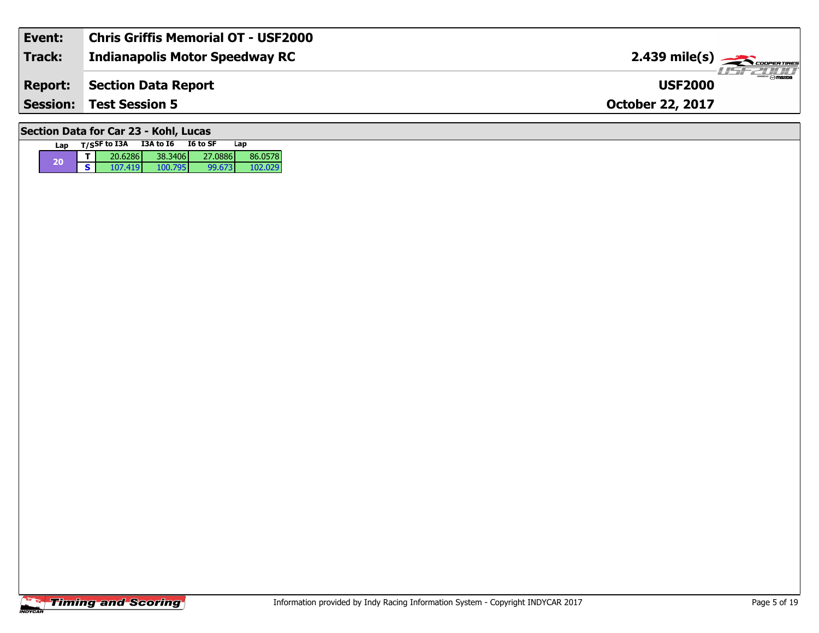| Event:                                | <b>Chris Griffis Memorial OT - USF2000</b> |                                                              |  |  |  |  |
|---------------------------------------|--------------------------------------------|--------------------------------------------------------------|--|--|--|--|
| Track:                                | <b>Indianapolis Motor Speedway RC</b>      |                                                              |  |  |  |  |
| <b>Report:</b>                        | Section Data Report                        | $\bm{H} = \bm{H} \bm{H} / \bm{H} / \bm{H}$<br><b>USF2000</b> |  |  |  |  |
|                                       | <b>Session: Test Session 5</b>             | <b>October 22, 2017</b>                                      |  |  |  |  |
| Section Data for Car 23 - Kohl, Lucas |                                            |                                                              |  |  |  |  |

**Lap T/SSF to I3A I3A to I6 I6 to SF** 

**<sup>20</sup> <sup>T</sup>** 20.6286 38.3406 27.0886 86.0578 **S** 107.419 100.795 99.673 102.029

**Lap**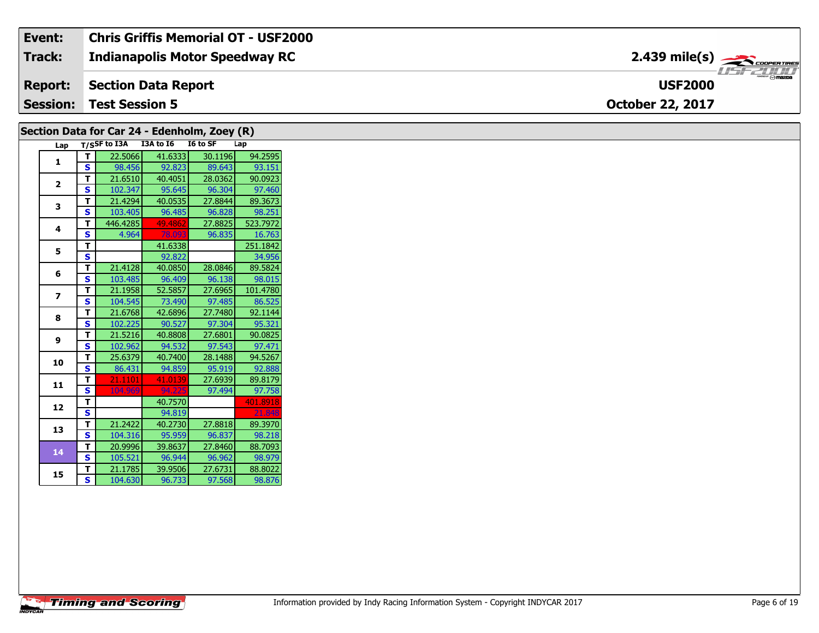| Event:          | <b>Chris Griffis Memorial OT - USF2000</b> |                                            |
|-----------------|--------------------------------------------|--------------------------------------------|
| <b>Track:</b>   | <b>Indianapolis Motor Speedway RC</b>      |                                            |
| <b>Report:</b>  | Section Data Report                        | $\overline{\phantom{a}}$<br><b>USF2000</b> |
| <b>Session:</b> | <b>Test Session 5</b>                      | <b>October 22, 2017</b>                    |

## **Section Data for Car 24 - Edenholm, Zoey (R)**

| Lap                     |   | $T/S$ SF to I3A | I3A to I6 | I6 to SF | Lap      |
|-------------------------|---|-----------------|-----------|----------|----------|
| 1                       | т | 22.5066         | 41.6333   | 30.1196  | 94.2595  |
|                         | S | 98.456          | 92.823    | 89.643   | 93.151   |
| $\overline{\mathbf{c}}$ | T | 21.6510         | 40.4051   | 28.0362  | 90.0923  |
|                         | S | 102.347         | 95.645    | 96.304   | 97.460   |
| 3                       | T | 21.4294         | 40.0535   | 27.8844  | 89.3673  |
|                         | S | 103.405         | 96.485    | 96.828   | 98.251   |
| 4                       | T | 446.4285        | 49.4862   | 27.8825  | 523.7972 |
|                         | S | 4.964           | 78.093    | 96.835   | 16.763   |
| 5                       | T |                 | 41.6338   |          | 251.1842 |
|                         | S |                 | 92.822    |          | 34.956   |
| 6                       | т | 21.4128         | 40.0850   | 28.0846  | 89.5824  |
|                         | S | 103.485         | 96.409    | 96.138   | 98.015   |
| 7                       | T | 21.1958         | 52.5857   | 27.6965  | 101.4780 |
|                         | S | 104.545         | 73.490    | 97.485   | 86.525   |
| 8                       | T | 21.6768         | 42.6896   | 27.7480  | 92.1144  |
|                         | S | 102.225         | 90.527    | 97.304   | 95.321   |
| 9                       | T | 21.5216         | 40.8808   | 27.6801  | 90.0825  |
|                         | S | 102.962         | 94.532    | 97.543   | 97.471   |
| 10                      | T | 25.6379         | 40.7400   | 28.1488  | 94.5267  |
|                         | S | 86.431          | 94.859    | 95.919   | 92.888   |
| 11                      | T | 21.1101         | 41.0139   | 27.6939  | 89.8179  |
|                         | S | 104.969         | 94.225    | 97.494   | 97.758   |
| 12                      | T |                 | 40.7570   |          | 401.8918 |
|                         | S |                 | 94.819    |          | 21.848   |
| 13                      | T | 21.2422         | 40.2730   | 27.8818  | 89.3970  |
|                         | S | 104.316         | 95.959    | 96.837   | 98.218   |
| 14                      | т | 20.9996         | 39.8637   | 27.8460  | 88.7093  |
|                         | S | 105.521         | 96.944    | 96.962   | 98.979   |
| 15                      | T | 21.1785         | 39.9506   | 27.6731  | 88.8022  |
|                         | S | 104.630         | 96.733    | 97.568   | 98.876   |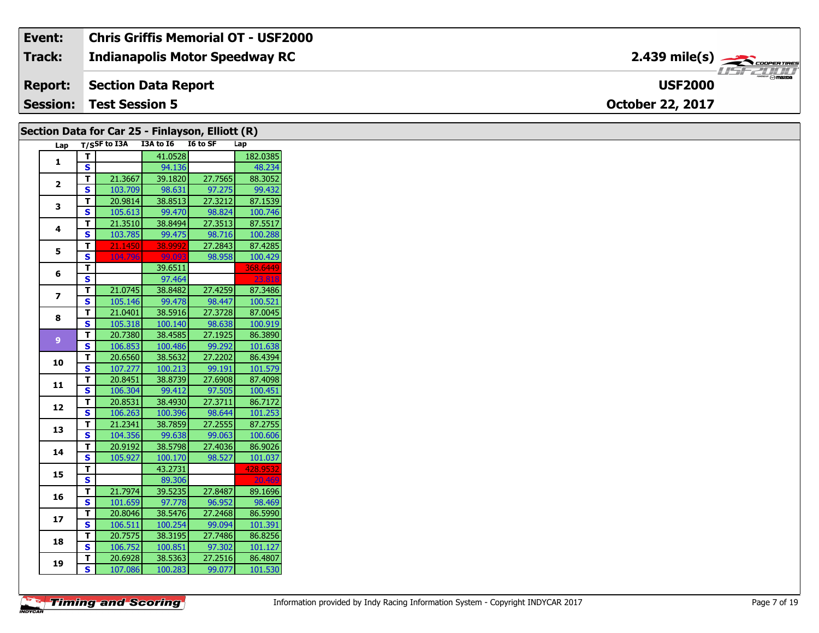#### **Event: Chris Griffis Memorial OT - USF2000 2.439 mile(s)Track: Indianapolis Motor Speedway RC** COOPER TIRES 15721111 **Section Data Report Report: USF2000 Session: Test Session 5 October 22, 2017**

| Section Data for Car 25 - Finlayson, Elliott (R) |                         |                  |                    |         |          |
|--------------------------------------------------|-------------------------|------------------|--------------------|---------|----------|
|                                                  |                         | Lap T/SSF to I3A | I3A to I6 I6 to SF |         | Lap      |
|                                                  | $\mathbf T$             |                  | 41.0528            |         | 182.0385 |
| 1                                                | S                       |                  | 94.136             |         | 48.234   |
| $\mathbf{2}$                                     | T                       | 21.3667          | 39.1820            | 27.7565 | 88.3052  |
|                                                  | <b>S</b>                | 103.709          | 98.631             | 97.275  | 99.432   |
| 3                                                | T                       | 20.9814          | 38.8513            | 27.3212 | 87.1539  |
|                                                  | S                       | 105.613          | 99.470             | 98.824  | 100.746  |
| 4                                                | T                       | 21.3510          | 38.8494            | 27.3513 | 87.5517  |
|                                                  | <b>S</b>                | 103.785          | 99.475             | 98.716  | 100.288  |
| 5                                                | T.                      | 21.1450          | 38.9992            | 27.2843 | 87.4285  |
|                                                  | S                       | 104.796          | 99.09              | 98.958  | 100.429  |
| 6                                                | T                       |                  | 39.6511            |         | 368.6449 |
|                                                  | S                       |                  | 97.464             |         | 23.818   |
| $\overline{\mathbf{z}}$                          | T                       | 21.0745          | 38.8482            | 27.4259 | 87.3486  |
|                                                  | S                       | 105.146          | 99.478             | 98.447  | 100.521  |
| 8                                                | T                       | 21.0401          | 38.5916            | 27.3728 | 87.0045  |
|                                                  | S                       | 105.318          | 100.140            | 98.638  | 100.919  |
| 9                                                | T                       | 20.7380          | 38.4585            | 27.1925 | 86.3890  |
|                                                  | <b>S</b>                | 106.853          | 100.486            | 99.292  | 101.638  |
| 10                                               | T.                      | 20.6560          | 38.5632            | 27.2202 | 86.4394  |
|                                                  | S                       | 107.277          | 100.213            | 99.191  | 101.579  |
| 11                                               | T                       | 20.8451          | 38.8739            | 27.6908 | 87.4098  |
|                                                  | S                       | 106.304          | 99.412             | 97.505  | 100.451  |
| 12                                               | T.                      | 20.8531          | 38.4930            | 27.3711 | 86.7172  |
|                                                  | S                       | 106.263          | 100.396            | 98.644  | 101.253  |
| 13                                               | T                       | 21.2341          | 38.7859            | 27.2555 | 87.2755  |
|                                                  | S                       | 104.356          | 99.638             | 99.063  | 100.606  |
| 14                                               | T.                      | 20.9192          | 38.5798            | 27.4036 | 86.9026  |
|                                                  | $\overline{\mathbf{s}}$ | 105.927          | 100.170            | 98.527  | 101.037  |
| 15                                               | T                       |                  | 43.2731            |         | 428.9532 |
|                                                  | S                       |                  | 89.306             |         | 20.46    |
| 16                                               | T                       | 21.7974          | 39.5235            | 27.8487 | 89.1696  |
|                                                  | <b>S</b>                | 101.659          | 97.778             | 96.952  | 98.469   |
| 17                                               | T.                      | 20.8046          | 38.5476            | 27.2468 | 86.5990  |
|                                                  | S                       | 106.511          | 100.254            | 99.094  | 101.391  |
| 18                                               | T                       | 20.7575          | 38.3195            | 27.7486 | 86.8256  |
|                                                  | S                       | 106.752          | 100.851            | 97.302  | 101.127  |
| 19                                               | T.                      | 20.6928          | 38.5363            | 27.2516 | 86.4807  |
|                                                  | S.                      | 107.086          | 100.283            | 99.077  | 101.530  |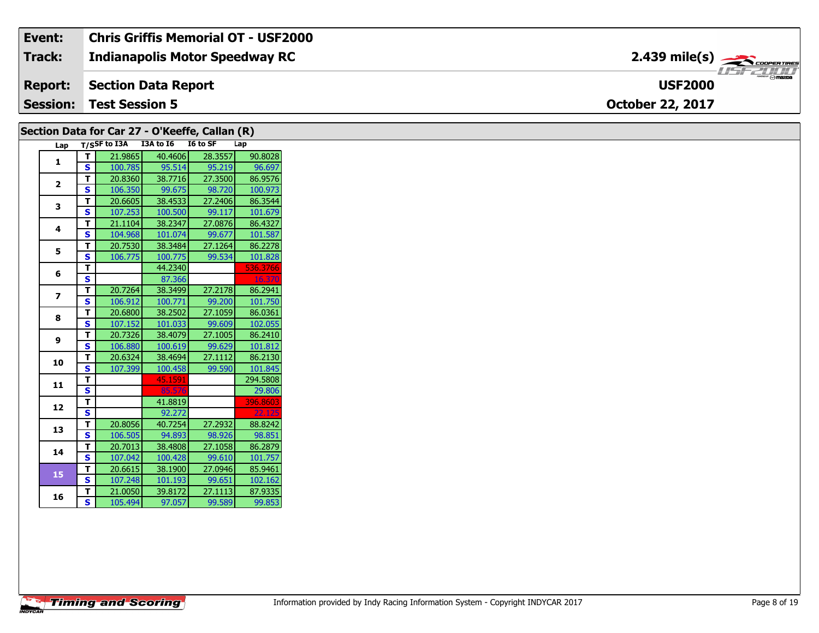| Event:          | Chris Griffis Memorial OT - USF2000   |                                                           |
|-----------------|---------------------------------------|-----------------------------------------------------------|
| Track:          | <b>Indianapolis Motor Speedway RC</b> | $2.439$ mile(s) $\overbrace{\hspace{2.5cm}}$ coorga Times |
|                 | <b>Report:</b> Section Data Report    | R<br><b>USF2000</b>                                       |
| <b>Session:</b> | <b>Test Session 5</b>                 | <b>October 22, 2017</b>                                   |

|                         |                         | Section Data for Car 27 - O'Keeffe, Callan (R) |         |         |          |
|-------------------------|-------------------------|------------------------------------------------|---------|---------|----------|
| Lap                     |                         | T/SSF to I3A I3A to I6 I6 to SF                |         |         | Lap      |
| 1                       | $\mathbf{T}$            | 21.9865                                        | 40.4606 | 28.3557 | 90.8028  |
|                         | S                       | 100.785                                        | 95.514  | 95.219  | 96.697   |
| $\overline{2}$          | T.                      | 20.8360                                        | 38.7716 | 27.3500 | 86.9576  |
|                         | <b>S</b>                | 106.350                                        | 99.675  | 98.720  | 100.973  |
| 3                       | T.                      | 20.6605                                        | 38.4533 | 27.2406 | 86.3544  |
|                         | $\mathbf{s}$            | 107.253                                        | 100.500 | 99.117  | 101.679  |
|                         | T                       | 21.1104                                        | 38.2347 | 27.0876 | 86.4327  |
| 4                       | S                       | 104.968                                        | 101.074 | 99.677  | 101.587  |
| 5                       | T                       | 20.7530                                        | 38.3484 | 27.1264 | 86.2278  |
|                         | S                       | 106.775                                        | 100.775 | 99.534  | 101.828  |
|                         | T                       |                                                | 44.2340 |         | 536.3766 |
| 6                       | $\overline{\mathbf{s}}$ |                                                | 87.366  |         | 16.370   |
|                         | T.                      | 20.7264                                        | 38.3499 | 27.2178 | 86.2941  |
| $\overline{\mathbf{z}}$ | $\mathbf{s}$            | 106.912                                        | 100.771 | 99.200  | 101.750  |
| 8                       | T                       | 20.6800                                        | 38.2502 | 27.1059 | 86.0361  |
|                         | S                       | 107.152                                        | 101.033 | 99.609  | 102.055  |
|                         | T                       | 20.7326                                        | 38.4079 | 27.1005 | 86.2410  |
| 9                       | $\mathbf{s}$            | 106.880                                        | 100.619 | 99.629  | 101.812  |
| 10                      | T.                      | 20.6324                                        | 38.4694 | 27.1112 | 86.2130  |
|                         | S                       | 107.399                                        | 100.458 | 99.590  | 101.845  |
|                         | T                       |                                                | 45.1591 |         | 294.5808 |
| 11                      | S                       |                                                | 85.57   |         | 29.806   |
|                         | T                       |                                                | 41.8819 |         | 396.8603 |
| 12                      | $\overline{\mathbf{s}}$ |                                                | 92.272  |         | 22.125   |
|                         | T                       | 20.8056                                        | 40.7254 | 27.2932 | 88.8242  |
| 13                      | S                       | 106.505                                        | 94.893  | 98.926  | 98.851   |
|                         | T                       | 20.7013                                        | 38.4808 | 27.1058 | 86.2879  |
| 14                      | S                       | 107.042                                        | 100.428 | 99.610  | 101.757  |
| 15                      | T.                      | 20.6615                                        | 38.1900 | 27.0946 | 85.9461  |
|                         | <b>S</b>                | 107.248                                        | 101.193 | 99.651  | 102.162  |
|                         | T                       | 21.0050                                        | 39.8172 | 27.1113 | 87.9335  |
| 16                      | S                       | 105.494                                        | 97.057  | 99.589  | 99.853   |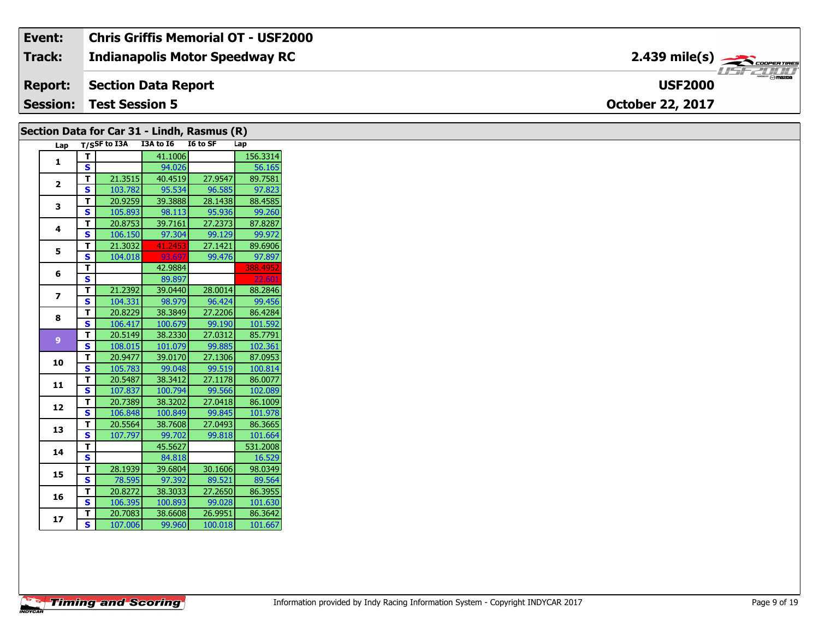#### **Event: Chris Griffis Memorial OT - USF2000 2.439 mile(s)Track: Indianapolis Motor Speedway RC** 15771111 **Report: Section Data Report USF2000 Session: Test Session 5 October 22, 2017**

#### **Lap T/SSF to I3A I3A to I6 I6 to SF Lap 1 T** 41.1006 156.3314 **S** 94.026 56.165 **2 T** 21.3515 40.4519 27.9547 89.7581 **S** 103.782 95.534 96.585 97.823 **3 T** 20.9259 39.3888 28.1438 88.4585 **S** 105.893 98.113 95.936 99.260 **4 T** 20.8753 39.7161 27.2373 87.8287 **S** 106.150 97.304 99.129 99.972 **5 T** 21.3032 41.2453 27.1421 89.6906 **S** 104.018 93.697 99.476 97.897 **6 T** 42.9884 388.4952 **S** 89.897 **7 T** 21.2392 39.0440 28.0014 88.2846 **S** 104.331 98.979 96.424 99.456 **8 T** 20.8229 38.3849 27.2206 86.4284 **S** 106.417 100.679 99.190 101.592 **9 T** 20.5149 38.2330 27.0312 85.7791 **S** 108.015 101.079 99.885 102.361 **<sup>10</sup> <sup>T</sup>** 20.9477 39.0170 27.1306 87.0953 **S** 105.783 99.048 99.519 100.814 **<sup>11</sup> <sup>T</sup>** 20.5487 38.3412 27.1178 86.0077 **S** 107.837 100.794 99.566 102.089 **<sup>12</sup> <sup>T</sup>** 20.7389 38.3202 27.0418 86.1009 **S** 106.848 100.849 99.845 101.978 **<sup>13</sup> <sup>T</sup>** 20.5564 38.7608 27.0493 86.3665 **S** 107.797 99.702 99.818 101.664 **14 T** 45.5627 531.2008 **S** 84.818 16.529 **<sup>15</sup> <sup>T</sup>** 28.1939 39.6804 30.1606 98.0349 **S** 78.595 97.392 89.521 89.564 **<sup>16</sup> <sup>T</sup>** 20.8272 38.3033 27.2650 86.3955 **S** 106.395 100.893 99.028 101.630 **<sup>17</sup> <sup>T</sup>** 20.7083 38.6608 26.9951 86.3642 **S** 107.006 99.960 100.018 101.667 **Section Data for Car 31 - Lindh, Rasmus (R)**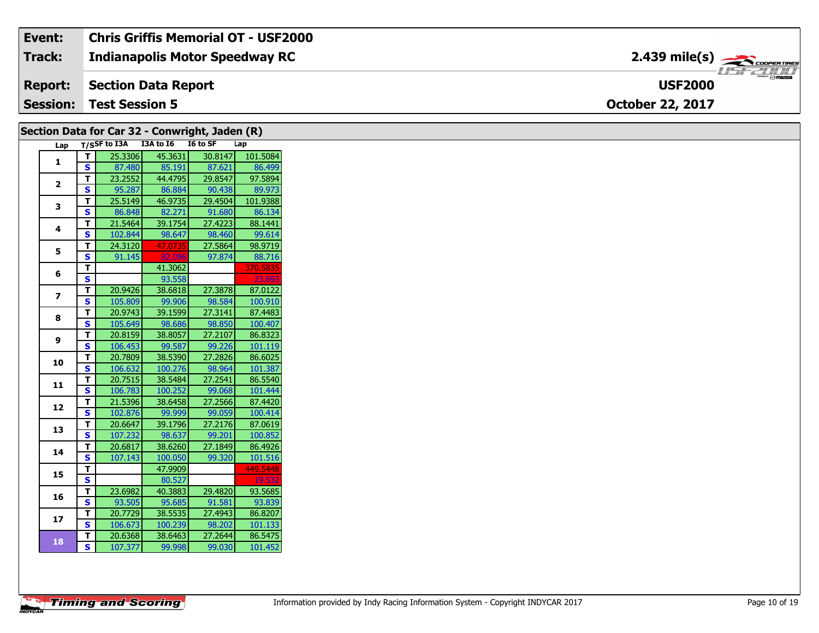| Event:          | <b>Chris Griffis Memorial OT - USF2000</b> |                                                         |
|-----------------|--------------------------------------------|---------------------------------------------------------|
| <b>Track:</b>   | <b>Indianapolis Motor Speedway RC</b>      | $2.439$ mile(s) $\overbrace{\hspace{2.5cm}}$ coorganges |
| <b>Report:</b>  | Section Data Report                        | $\overline{\mathbf{m}}$<br><b>USF2000</b>               |
| <b>Session:</b> | <b>Test Session 5</b>                      | <b>October 22, 2017</b>                                 |

| Lap T/SSF to I3A I3A to I6<br>I6 to SF<br>Lap<br>25.3306<br>45.3631<br>30.8147<br>T.<br>$\mathbf{1}$<br>S.<br>85.191<br>87.621<br>87.480<br>29.8547<br>23.2552<br>44.4795<br>Τ.<br>$\mathbf{2}$<br>S.<br>95.287<br>86.884<br>90.438<br>25.5149<br>29.4504<br>T<br>46.9735<br>3<br>S.<br>86.848<br>82.271<br>91.680<br>27.4223<br>T.<br>21.5464<br>39.1754<br>4<br>S<br>102.844<br>98.647<br>98.460<br>24.3120<br>27.5864<br>T.<br>47.0735<br>5<br><b>S</b><br>82.096<br>97.874<br>91.145<br>41.3062<br>T.<br>6<br>S.<br>23.693<br>93.558<br>20.9426<br>27.3878<br>38.6818<br>T.<br>$\overline{\mathbf{z}}$<br>S.<br>99.906<br>98.584<br>105.809<br>20.9743<br>39.1599<br>27.3141<br>T.<br>8<br>S<br>98.850<br>105.649<br>98.686<br>27.2107<br>20.8159<br>38.8057<br>T.<br>9<br>S<br>99.587<br>106.453<br>99.226<br>27.2826<br>20.7809<br>38.5390<br>T.<br>10<br>S.<br>100.276<br>98.964<br>106.632<br>T.<br>27.2541<br>20.7515<br>38.5484<br>11<br>$\mathbf{s}$<br>100.252<br>106.783<br>99.068<br>T.<br>21.5396<br>38.6458<br>27.2566<br>12<br>$\overline{\mathbf{s}}$<br>102.876<br>99.999<br>99.059<br>20.6647<br>39.1796<br>27.2176<br>Τ.<br>13<br>S<br>98.637<br>99.201<br>107.232<br>20.6817<br>38.6260<br>27.1849<br>Т.<br>14<br>99.320<br>S.<br>107.143<br>100.050<br>T.<br>47.9909<br>449.5448<br>15<br>S<br>80.527<br>19.53<br>40.3883<br>29.4820<br>T.<br>23.6982<br>16<br>S.<br>95.685<br>93.505<br>91.581<br>20.7729<br>38.5535<br>27.4943<br>Τ.<br>17<br><b>S</b><br>100.239<br>98.202<br>106.673<br>27.2644<br>20.6368<br>38.6463<br>T.<br>18<br>107.377<br>S.<br>99.998<br>99.030 |  | Section Data for Car 32 - Conwright, Jaden (R) |  |          |
|---------------------------------------------------------------------------------------------------------------------------------------------------------------------------------------------------------------------------------------------------------------------------------------------------------------------------------------------------------------------------------------------------------------------------------------------------------------------------------------------------------------------------------------------------------------------------------------------------------------------------------------------------------------------------------------------------------------------------------------------------------------------------------------------------------------------------------------------------------------------------------------------------------------------------------------------------------------------------------------------------------------------------------------------------------------------------------------------------------------------------------------------------------------------------------------------------------------------------------------------------------------------------------------------------------------------------------------------------------------------------------------------------------------------------------------------------------------------------------------------------------------------------------------------------------------------------------------------------|--|------------------------------------------------|--|----------|
|                                                                                                                                                                                                                                                                                                                                                                                                                                                                                                                                                                                                                                                                                                                                                                                                                                                                                                                                                                                                                                                                                                                                                                                                                                                                                                                                                                                                                                                                                                                                                                                                   |  |                                                |  |          |
|                                                                                                                                                                                                                                                                                                                                                                                                                                                                                                                                                                                                                                                                                                                                                                                                                                                                                                                                                                                                                                                                                                                                                                                                                                                                                                                                                                                                                                                                                                                                                                                                   |  |                                                |  | 101.5084 |
|                                                                                                                                                                                                                                                                                                                                                                                                                                                                                                                                                                                                                                                                                                                                                                                                                                                                                                                                                                                                                                                                                                                                                                                                                                                                                                                                                                                                                                                                                                                                                                                                   |  |                                                |  | 86.499   |
|                                                                                                                                                                                                                                                                                                                                                                                                                                                                                                                                                                                                                                                                                                                                                                                                                                                                                                                                                                                                                                                                                                                                                                                                                                                                                                                                                                                                                                                                                                                                                                                                   |  |                                                |  | 97.5894  |
|                                                                                                                                                                                                                                                                                                                                                                                                                                                                                                                                                                                                                                                                                                                                                                                                                                                                                                                                                                                                                                                                                                                                                                                                                                                                                                                                                                                                                                                                                                                                                                                                   |  |                                                |  | 89.973   |
|                                                                                                                                                                                                                                                                                                                                                                                                                                                                                                                                                                                                                                                                                                                                                                                                                                                                                                                                                                                                                                                                                                                                                                                                                                                                                                                                                                                                                                                                                                                                                                                                   |  |                                                |  | 101.9388 |
|                                                                                                                                                                                                                                                                                                                                                                                                                                                                                                                                                                                                                                                                                                                                                                                                                                                                                                                                                                                                                                                                                                                                                                                                                                                                                                                                                                                                                                                                                                                                                                                                   |  |                                                |  | 86.134   |
|                                                                                                                                                                                                                                                                                                                                                                                                                                                                                                                                                                                                                                                                                                                                                                                                                                                                                                                                                                                                                                                                                                                                                                                                                                                                                                                                                                                                                                                                                                                                                                                                   |  |                                                |  | 88.1441  |
|                                                                                                                                                                                                                                                                                                                                                                                                                                                                                                                                                                                                                                                                                                                                                                                                                                                                                                                                                                                                                                                                                                                                                                                                                                                                                                                                                                                                                                                                                                                                                                                                   |  |                                                |  | 99.614   |
|                                                                                                                                                                                                                                                                                                                                                                                                                                                                                                                                                                                                                                                                                                                                                                                                                                                                                                                                                                                                                                                                                                                                                                                                                                                                                                                                                                                                                                                                                                                                                                                                   |  |                                                |  | 98.9719  |
|                                                                                                                                                                                                                                                                                                                                                                                                                                                                                                                                                                                                                                                                                                                                                                                                                                                                                                                                                                                                                                                                                                                                                                                                                                                                                                                                                                                                                                                                                                                                                                                                   |  |                                                |  | 88.716   |
|                                                                                                                                                                                                                                                                                                                                                                                                                                                                                                                                                                                                                                                                                                                                                                                                                                                                                                                                                                                                                                                                                                                                                                                                                                                                                                                                                                                                                                                                                                                                                                                                   |  |                                                |  | 370.5835 |
|                                                                                                                                                                                                                                                                                                                                                                                                                                                                                                                                                                                                                                                                                                                                                                                                                                                                                                                                                                                                                                                                                                                                                                                                                                                                                                                                                                                                                                                                                                                                                                                                   |  |                                                |  |          |
|                                                                                                                                                                                                                                                                                                                                                                                                                                                                                                                                                                                                                                                                                                                                                                                                                                                                                                                                                                                                                                                                                                                                                                                                                                                                                                                                                                                                                                                                                                                                                                                                   |  |                                                |  | 87.0122  |
|                                                                                                                                                                                                                                                                                                                                                                                                                                                                                                                                                                                                                                                                                                                                                                                                                                                                                                                                                                                                                                                                                                                                                                                                                                                                                                                                                                                                                                                                                                                                                                                                   |  |                                                |  | 100.910  |
|                                                                                                                                                                                                                                                                                                                                                                                                                                                                                                                                                                                                                                                                                                                                                                                                                                                                                                                                                                                                                                                                                                                                                                                                                                                                                                                                                                                                                                                                                                                                                                                                   |  |                                                |  | 87.4483  |
|                                                                                                                                                                                                                                                                                                                                                                                                                                                                                                                                                                                                                                                                                                                                                                                                                                                                                                                                                                                                                                                                                                                                                                                                                                                                                                                                                                                                                                                                                                                                                                                                   |  |                                                |  | 100.407  |
|                                                                                                                                                                                                                                                                                                                                                                                                                                                                                                                                                                                                                                                                                                                                                                                                                                                                                                                                                                                                                                                                                                                                                                                                                                                                                                                                                                                                                                                                                                                                                                                                   |  |                                                |  | 86.8323  |
|                                                                                                                                                                                                                                                                                                                                                                                                                                                                                                                                                                                                                                                                                                                                                                                                                                                                                                                                                                                                                                                                                                                                                                                                                                                                                                                                                                                                                                                                                                                                                                                                   |  |                                                |  | 101.119  |
|                                                                                                                                                                                                                                                                                                                                                                                                                                                                                                                                                                                                                                                                                                                                                                                                                                                                                                                                                                                                                                                                                                                                                                                                                                                                                                                                                                                                                                                                                                                                                                                                   |  |                                                |  | 86.6025  |
|                                                                                                                                                                                                                                                                                                                                                                                                                                                                                                                                                                                                                                                                                                                                                                                                                                                                                                                                                                                                                                                                                                                                                                                                                                                                                                                                                                                                                                                                                                                                                                                                   |  |                                                |  | 101.387  |
|                                                                                                                                                                                                                                                                                                                                                                                                                                                                                                                                                                                                                                                                                                                                                                                                                                                                                                                                                                                                                                                                                                                                                                                                                                                                                                                                                                                                                                                                                                                                                                                                   |  |                                                |  | 86.5540  |
|                                                                                                                                                                                                                                                                                                                                                                                                                                                                                                                                                                                                                                                                                                                                                                                                                                                                                                                                                                                                                                                                                                                                                                                                                                                                                                                                                                                                                                                                                                                                                                                                   |  |                                                |  | 101.444  |
|                                                                                                                                                                                                                                                                                                                                                                                                                                                                                                                                                                                                                                                                                                                                                                                                                                                                                                                                                                                                                                                                                                                                                                                                                                                                                                                                                                                                                                                                                                                                                                                                   |  |                                                |  | 87.4420  |
|                                                                                                                                                                                                                                                                                                                                                                                                                                                                                                                                                                                                                                                                                                                                                                                                                                                                                                                                                                                                                                                                                                                                                                                                                                                                                                                                                                                                                                                                                                                                                                                                   |  |                                                |  | 100.414  |
|                                                                                                                                                                                                                                                                                                                                                                                                                                                                                                                                                                                                                                                                                                                                                                                                                                                                                                                                                                                                                                                                                                                                                                                                                                                                                                                                                                                                                                                                                                                                                                                                   |  |                                                |  | 87.0619  |
|                                                                                                                                                                                                                                                                                                                                                                                                                                                                                                                                                                                                                                                                                                                                                                                                                                                                                                                                                                                                                                                                                                                                                                                                                                                                                                                                                                                                                                                                                                                                                                                                   |  |                                                |  | 100.852  |
|                                                                                                                                                                                                                                                                                                                                                                                                                                                                                                                                                                                                                                                                                                                                                                                                                                                                                                                                                                                                                                                                                                                                                                                                                                                                                                                                                                                                                                                                                                                                                                                                   |  |                                                |  | 86.4926  |
|                                                                                                                                                                                                                                                                                                                                                                                                                                                                                                                                                                                                                                                                                                                                                                                                                                                                                                                                                                                                                                                                                                                                                                                                                                                                                                                                                                                                                                                                                                                                                                                                   |  |                                                |  | 101.516  |
|                                                                                                                                                                                                                                                                                                                                                                                                                                                                                                                                                                                                                                                                                                                                                                                                                                                                                                                                                                                                                                                                                                                                                                                                                                                                                                                                                                                                                                                                                                                                                                                                   |  |                                                |  |          |
|                                                                                                                                                                                                                                                                                                                                                                                                                                                                                                                                                                                                                                                                                                                                                                                                                                                                                                                                                                                                                                                                                                                                                                                                                                                                                                                                                                                                                                                                                                                                                                                                   |  |                                                |  |          |
|                                                                                                                                                                                                                                                                                                                                                                                                                                                                                                                                                                                                                                                                                                                                                                                                                                                                                                                                                                                                                                                                                                                                                                                                                                                                                                                                                                                                                                                                                                                                                                                                   |  |                                                |  | 93.5685  |
|                                                                                                                                                                                                                                                                                                                                                                                                                                                                                                                                                                                                                                                                                                                                                                                                                                                                                                                                                                                                                                                                                                                                                                                                                                                                                                                                                                                                                                                                                                                                                                                                   |  |                                                |  | 93.839   |
|                                                                                                                                                                                                                                                                                                                                                                                                                                                                                                                                                                                                                                                                                                                                                                                                                                                                                                                                                                                                                                                                                                                                                                                                                                                                                                                                                                                                                                                                                                                                                                                                   |  |                                                |  | 86.8207  |
|                                                                                                                                                                                                                                                                                                                                                                                                                                                                                                                                                                                                                                                                                                                                                                                                                                                                                                                                                                                                                                                                                                                                                                                                                                                                                                                                                                                                                                                                                                                                                                                                   |  |                                                |  | 101.133  |
|                                                                                                                                                                                                                                                                                                                                                                                                                                                                                                                                                                                                                                                                                                                                                                                                                                                                                                                                                                                                                                                                                                                                                                                                                                                                                                                                                                                                                                                                                                                                                                                                   |  |                                                |  | 86.5475  |
|                                                                                                                                                                                                                                                                                                                                                                                                                                                                                                                                                                                                                                                                                                                                                                                                                                                                                                                                                                                                                                                                                                                                                                                                                                                                                                                                                                                                                                                                                                                                                                                                   |  |                                                |  | 101.452  |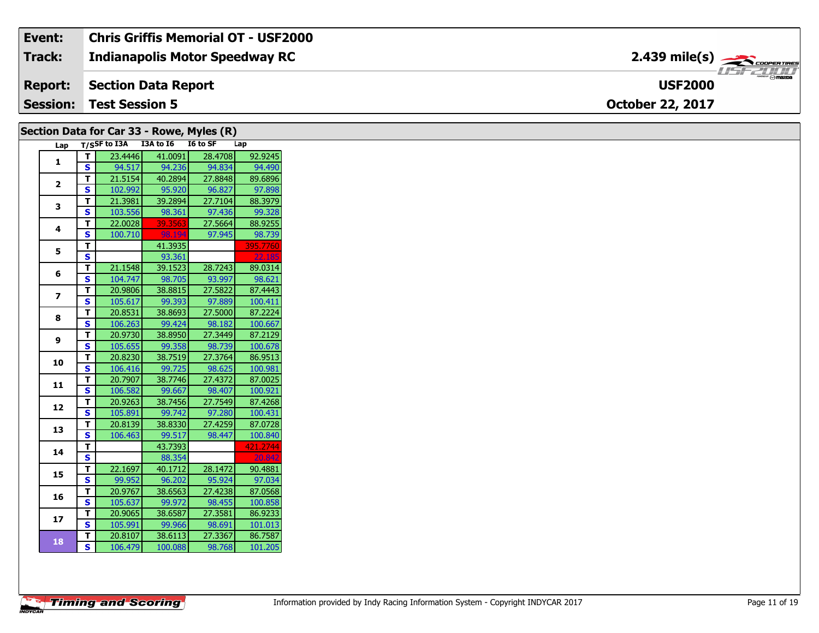| Event:          | <b>Chris Griffis Memorial OT - USF2000</b> |                                       |
|-----------------|--------------------------------------------|---------------------------------------|
| Track:          | <b>Indianapolis Motor Speedway RC</b>      |                                       |
| <b>Report:</b>  | Section Data Report                        | $H = F / I / I / I$<br><b>USF2000</b> |
| <b>Session:</b> | <b>Test Session 5</b>                      | <b>October 22, 2017</b>               |

## **Section Data for Car 33 - Rowe, Myles (R)**

| Lap            |                         | T/SSF to I3A | I3A to I6 | I6 to SF | Lap      |
|----------------|-------------------------|--------------|-----------|----------|----------|
| $\mathbf{1}$   | т                       | 23.4446      | 41.0091   | 28.4708  | 92.9245  |
|                | S                       | 94.517       | 94.236    | 94.834   | 94.490   |
|                | т                       | 21.5154      | 40.2894   | 27.8848  | 89.6896  |
| $\overline{2}$ | S                       | 102.992      | 95.920    | 96.827   | 97.898   |
| 3              | т                       | 21.3981      | 39.2894   | 27.7104  | 88.3979  |
|                | S                       | 103.556      | 98.361    | 97.436   | 99.328   |
| 4              | т                       | 22.0028      | 39.3563   | 27.5664  | 88.9255  |
|                | S                       | 100.710      | 98.194    | 97.945   | 98.739   |
| 5              | т                       |              | 41.3935   |          | 395.7760 |
|                | S                       |              | 93.361    |          | 22.185   |
| 6              | т                       | 21.1548      | 39.1523   | 28.7243  | 89.0314  |
|                | S                       | 104.747      | 98.705    | 93.997   | 98.621   |
| $\overline{ }$ | т                       | 20.9806      | 38.8815   | 27.5822  | 87.4443  |
|                | S                       | 105.617      | 99.393    | 97.889   | 100.411  |
| 8              | T.                      | 20.8531      | 38.8693   | 27.5000  | 87.2224  |
|                | S                       | 106.263      | 99.424    | 98.182   | 100.667  |
| 9              | т                       | 20.9730      | 38.8950   | 27.3449  | 87.2129  |
|                | S                       | 105.655      | 99.358    | 98.739   | 100.678  |
| 10             | т                       | 20.8230      | 38.7519   | 27.3764  | 86.9513  |
|                | S                       | 106.416      | 99.725    | 98.625   | 100.981  |
| 11             | T                       | 20.7907      | 38.7746   | 27.4372  | 87.0025  |
|                | S                       | 106.582      | 99.667    | 98.407   | 100.921  |
| 12             | Т                       | 20.9263      | 38.7456   | 27.7549  | 87.4268  |
|                | S                       | 105.891      | 99.742    | 97.280   | 100.431  |
| 13             | т                       | 20.8139      | 38.8330   | 27.4259  | 87.0728  |
|                | S                       | 106.463      | 99.517    | 98.447   | 100.840  |
| 14             | т                       |              | 43.7393   |          | 421.2744 |
|                | S                       |              | 88.354    |          | 20.842   |
| 15             | т                       | 22.1697      | 40.1712   | 28.1472  | 90.4881  |
|                | S                       | 99.952       | 96.202    | 95.924   | 97.034   |
| 16             | т                       | 20.9767      | 38.6563   | 27.4238  | 87.0568  |
|                | S                       | 105.637      | 99.972    | 98.455   | 100.858  |
| 17             | т                       | 20.9065      | 38.6587   | 27.3581  | 86.9233  |
|                | S                       | 105.991      | 99.966    | 98.691   | 101.013  |
| 18             | т                       | 20.8107      | 38.6113   | 27.3367  | 86.7587  |
|                | $\overline{\mathbf{s}}$ | 106.479      | 100.088   | 98.768   | 101.205  |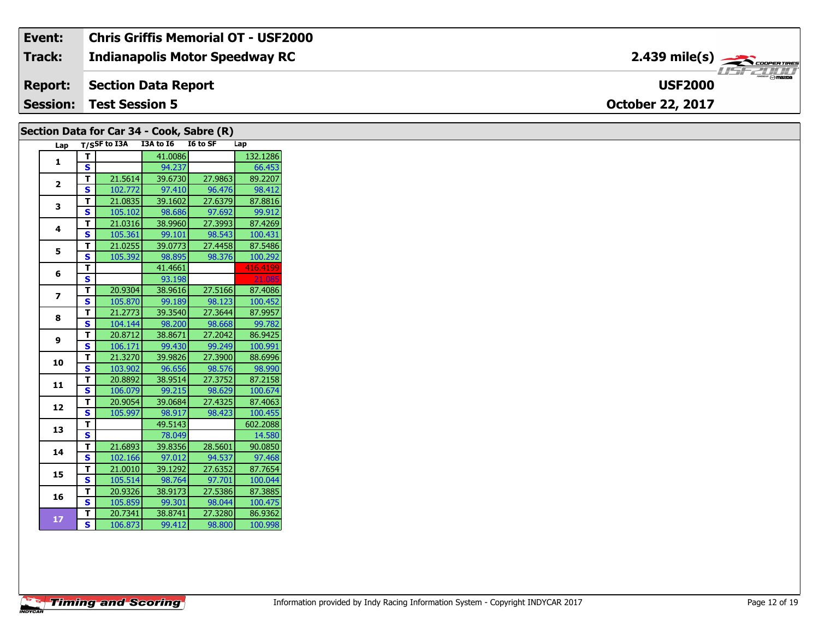#### **Event: Chris Griffis Memorial OT - USF2000 2.439 mile(s)Track: Indianapolis Motor Speedway RC**  $\frac{1}{\sqrt{1-\frac{1}{2}}}\frac{1}{\sqrt{1-\frac{1}{2}}}\frac{1}{\sqrt{1-\frac{1}{2}}}\frac{1}{\sqrt{1-\frac{1}{2}}}\frac{1}{\sqrt{1-\frac{1}{2}}}\frac{1}{\sqrt{1-\frac{1}{2}}}\frac{1}{\sqrt{1-\frac{1}{2}}}\frac{1}{\sqrt{1-\frac{1}{2}}}\frac{1}{\sqrt{1-\frac{1}{2}}}\frac{1}{\sqrt{1-\frac{1}{2}}}\frac{1}{\sqrt{1-\frac{1}{2}}}\frac{1}{\sqrt{1-\frac{1}{2}}}\frac{1}{\sqrt{1-\frac{1}{2}}}\frac{1}{\sqrt{1-\frac{$ **Report: Section Data Report USF2000 Session: Test Session 5 October 22, 2017**

### **Section Data for Car 34 - Cook, Sabre (R)**

| Lap            |                         | T/SSF to I3A | I3A to I6 | I6 to SF | Lap      |
|----------------|-------------------------|--------------|-----------|----------|----------|
| $\mathbf{1}$   | т                       |              | 41.0086   |          | 132.1286 |
|                | S                       |              | 94.237    |          | 66.453   |
|                | Т                       | 21.5614      | 39.6730   | 27.9863  | 89.2207  |
| 2              | S                       | 102.772      | 97.410    | 96.476   | 98.412   |
| 3              | т                       | 21.0835      | 39.1602   | 27.6379  | 87.8816  |
|                | Ś                       | 105.102      | 98.686    | 97.692   | 99.912   |
| 4              | T                       | 21.0316      | 38.9960   | 27.3993  | 87.4269  |
|                | S                       | 105.361      | 99.101    | 98.543   | 100.431  |
| 5              | т                       | 21.0255      | 39.0773   | 27.4458  | 87.5486  |
|                | S                       | 105.392      | 98.895    | 98.376   | 100.292  |
| 6              | T                       |              | 41.4661   |          | 416.4199 |
|                | S                       |              | 93.198    |          | 21.085   |
| $\overline{z}$ | T                       | 20.9304      | 38.9616   | 27.5166  | 87.4086  |
|                | S                       | 105.870      | 99.189    | 98.123   | 100.452  |
| 8              | т                       | 21.2773      | 39.3540   | 27.3644  | 87.9957  |
|                | S                       | 104.144      | 98.200    | 98.668   | 99.782   |
| 9              | Т                       | 20.8712      | 38.8671   | 27.2042  | 86.9425  |
|                | S                       | 106.171      | 99.430    | 99.249   | 100.991  |
| 10             | T                       | 21.3270      | 39.9826   | 27.3900  | 88.6996  |
|                | Ś                       | 103.902      | 96.656    | 98.576   | 98.990   |
| 11             | T                       | 20.8892      | 38.9514   | 27.3752  | 87.2158  |
|                | S                       | 106.079      | 99.215    | 98.629   | 100.674  |
| 12             | T                       | 20.9054      | 39.0684   | 27.4325  | 87.4063  |
|                | S                       | 105.997      | 98.917    | 98.423   | 100.455  |
| 13             | T                       |              | 49.5143   |          | 602.2088 |
|                | S                       |              | 78.049    |          | 14.580   |
| 14             | т                       | 21.6893      | 39.8356   | 28.5601  | 90.0850  |
|                | S                       | 102.166      | 97.012    | 94.537   | 97.468   |
| 15             | т                       | 21.0010      | 39.1292   | 27.6352  | 87.7654  |
|                | S                       | 105.514      | 98.764    | 97.701   | 100.044  |
| 16             | T                       | 20.9326      | 38.9173   | 27.5386  | 87.3885  |
|                | S                       | 105.859      | 99.301    | 98.044   | 100.475  |
| 17             | T                       | 20.7341      | 38.8741   | 27.3280  | 86.9362  |
|                | $\overline{\mathbf{s}}$ | 106.873      | 99.412    | 98.800   | 100.998  |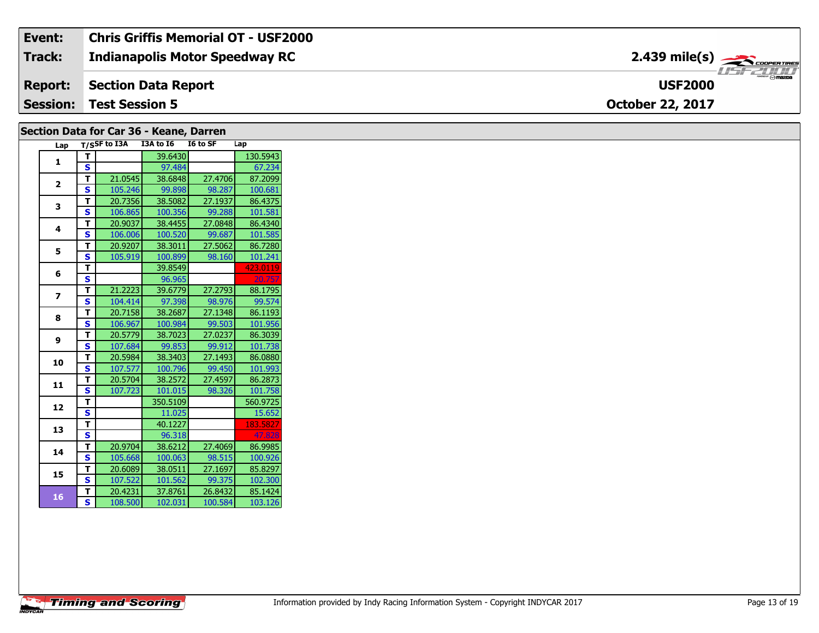| Event:          | $^\dagger$ Chris Griffis Memorial OT - USF2000 |                                            |
|-----------------|------------------------------------------------|--------------------------------------------|
| <b>Track:</b>   | <b>Indianapolis Motor Speedway RC</b>          | $2.439$ mile(s) $\rightarrow$ COOPER TIRES |
| <b>Report:</b>  | Section Data Report                            | $R$ $\sim$ mazpa<br><b>USF2000</b>         |
| <b>Session:</b> | <b>Test Session 5</b>                          | <b>October 22, 2017</b>                    |

### **Section Data for Car 36 - Keane, Darren**

| Lap                     |                         | T/SSF to I3A | I3A to I6 | I6 to SF | Lap      |
|-------------------------|-------------------------|--------------|-----------|----------|----------|
| 1                       | т                       |              | 39.6430   |          | 130.5943 |
|                         | S                       |              | 97.484    |          | 67.234   |
| $\overline{\mathbf{z}}$ | T                       | 21.0545      | 38.6848   | 27.4706  | 87.2099  |
|                         | S                       | 105.246      | 99.898    | 98.287   | 100.681  |
| 3                       | T                       | 20.7356      | 38.5082   | 27.1937  | 86.4375  |
|                         | Ś                       | 106.865      | 100.356   | 99.288   | 101.581  |
| 4                       | T                       | 20.9037      | 38.4455   | 27.0848  | 86.4340  |
|                         | S                       | 106.006      | 100.520   | 99.687   | 101.585  |
| 5                       | т                       | 20.9207      | 38.3011   | 27.5062  | 86.7280  |
|                         | S                       | 105.919      | 100.899   | 98.160   | 101.241  |
| 6                       | т                       |              | 39.8549   |          | 423.0119 |
|                         | S                       |              | 96.965    |          | 20.757   |
| 7                       | т                       | 21.2223      | 39.6779   | 27.2793  | 88.1795  |
|                         | S                       | 104.414      | 97.398    | 98.976   | 99.574   |
| 8                       | т                       | 20.7158      | 38.2687   | 27.1348  | 86.1193  |
|                         | S                       | 106.967      | 100.984   | 99.503   | 101.956  |
| 9                       | T                       | 20.5779      | 38.7023   | 27.0237  | 86.3039  |
|                         | S                       | 107.684      | 99.853    | 99.912   | 101.738  |
| 10                      | т                       | 20.5984      | 38.3403   | 27.1493  | 86.0880  |
|                         | S                       | 107.577      | 100.796   | 99.450   | 101.993  |
| 11                      | т                       | 20.5704      | 38.2572   | 27.4597  | 86.2873  |
|                         | S                       | 107.723      | 101.015   | 98.326   | 101.758  |
| 12                      | т                       |              | 350.5109  |          | 560.9725 |
|                         | S                       |              | 11.025    |          | 15.652   |
| 13                      | т                       |              | 40.1227   |          | 183.5827 |
|                         | S                       |              | 96.318    |          | 47.828   |
| 14                      | т                       | 20.9704      | 38.6212   | 27.4069  | 86.9985  |
|                         | S                       | 105.668      | 100.063   | 98.515   | 100.926  |
| 15                      | T                       | 20.6089      | 38.0511   | 27.1697  | 85.8297  |
|                         | S                       | 107.522      | 101.562   | 99.375   | 102.300  |
| 16                      | T                       | 20.4231      | 37.8761   | 26.8432  | 85.1424  |
|                         | $\overline{\mathbf{s}}$ | 108.500      | 102.031   | 100.584  | 103.126  |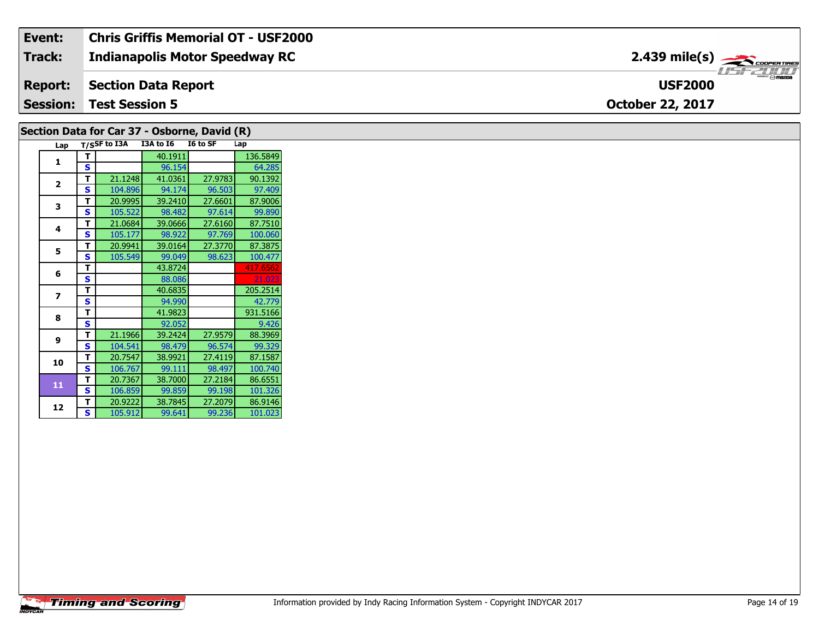#### **Event: Chris Griffis Memorial OT - USF2000 2.439 mile(s)Track: Indianapolis Motor Speedway RC**  $\frac{1}{\sqrt{1-\frac{1}{2}}}\frac{1}{\sqrt{1-\frac{1}{2}}}\frac{1}{\sqrt{1-\frac{1}{2}}}\frac{1}{\sqrt{1-\frac{1}{2}}}\frac{1}{\sqrt{1-\frac{1}{2}}}\frac{1}{\sqrt{1-\frac{1}{2}}}\frac{1}{\sqrt{1-\frac{1}{2}}}\frac{1}{\sqrt{1-\frac{1}{2}}}\frac{1}{\sqrt{1-\frac{1}{2}}}\frac{1}{\sqrt{1-\frac{1}{2}}}\frac{1}{\sqrt{1-\frac{1}{2}}}\frac{1}{\sqrt{1-\frac{1}{2}}}\frac{1}{\sqrt{1-\frac{1}{2}}}\frac{1}{\sqrt{1-\frac{$ **Report: Section Data Report USF2000 Session: Test Session 5 October 22, 2017**

### **Section Data for Car 37 - Osborne, David (R)**

| Lap |   | T/SSF to I3A | I3A to I6 | I6 to SF | Lap      |
|-----|---|--------------|-----------|----------|----------|
| 1   | т |              | 40.1911   |          | 136.5849 |
|     | S |              | 96.154    |          | 64.285   |
| 2   | т | 21.1248      | 41.0361   | 27.9783  | 90.1392  |
|     | S | 104.896      | 94.174    | 96.503   | 97.409   |
| 3   | т | 20.9995      | 39.2410   | 27.6601  | 87.9006  |
|     | S | 105.522      | 98.482    | 97.614   | 99.890   |
| 4   | т | 21.0684      | 39.0666   | 27.6160  | 87.7510  |
|     | S | 105.177      | 98.922    | 97.769   | 100.060  |
| 5   | т | 20.9941      | 39.0164   | 27.3770  | 87.3875  |
|     | S | 105.549      | 99.049    | 98.623   | 100.477  |
| 6   | T |              | 43.8724   |          | 417.6562 |
|     | S |              | 88.086    |          | 21.023   |
| 7   | т |              | 40.6835   |          | 205.2514 |
|     | S |              | 94.990    |          | 42.779   |
| 8   | т |              | 41.9823   |          | 931.5166 |
|     | S |              | 92.052    |          | 9.426    |
| 9   | т | 21.1966      | 39.2424   | 27.9579  | 88.3969  |
|     | S | 104.541      | 98.479    | 96.574   | 99.329   |
| 10  | т | 20.7547      | 38.9921   | 27.4119  | 87.1587  |
|     | S | 106.767      | 99.111    | 98.497   | 100.740  |
| 11  | т | 20.7367      | 38.7000   | 27.2184  | 86.6551  |
|     | S | 106.859      | 99.859    | 99.198   | 101.326  |
| 12  | т | 20.9222      | 38.7845   | 27.2079  | 86.9146  |
|     | S | 105.912      | 99.641    | 99.236   | 101.023  |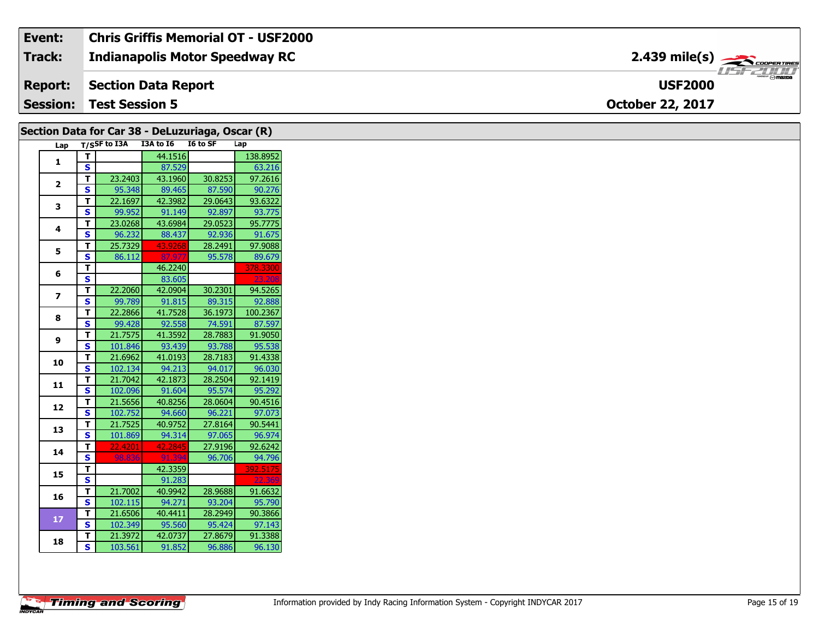| Event:        | Chris Griffis Memorial OT - USF2000   |                                                           |                      |
|---------------|---------------------------------------|-----------------------------------------------------------|----------------------|
| <b>Track:</b> | <b>Indianapolis Motor Speedway RC</b> | $2.439$ mile(s) $\overbrace{\hspace{2.5cm}}$ coorer TIRES |                      |
|               | <b>Report:</b> Section Data Report    | <b>USF2000</b>                                            | 77 <i>22111</i><br>R |
|               | <b>Session: Test Session 5</b>        | <b>October 22, 2017</b>                                   |                      |

| Section Data for Car 38 - DeLuzuriaga, Oscar (R) |                         |                    |                    |                   |                   |  |
|--------------------------------------------------|-------------------------|--------------------|--------------------|-------------------|-------------------|--|
| Lap                                              |                         | T/SSF to I3A       | I3A to I6 I6 to SF |                   | Lap               |  |
| $\mathbf{1}$                                     | $\mathbf T$             |                    | 44.1516            |                   | 138.8952          |  |
|                                                  | S                       |                    | 87.529             |                   | 63.216            |  |
| $\overline{2}$                                   | $\mathbf{T}$            | 23.2403            | 43.1960            | 30.8253           | 97.2616           |  |
|                                                  | <b>S</b>                | 95.348             | 89.465             | 87.590            | 90.276            |  |
| 3                                                | $\mathbf T$             | 22.1697            | 42.3982            | 29.0643           | 93.6322           |  |
|                                                  | $\mathbf{s}$            | 99.952             | 91.149             | 92.897            | 93.775            |  |
| 4                                                | T                       | 23.0268            | 43.6984            | 29.0523           | 95.7775           |  |
|                                                  | $\mathbf{s}$            | 96.232             | 88.437             | 92.936            | 91.675            |  |
| 5                                                | $\mathbf{T}$            | 25.7329            | 43.9268            | 28.2491           | 97.9088           |  |
|                                                  | S                       | 86.112             | 87.977             | 95.578            | 89.679            |  |
| 6                                                | T                       |                    | 46.2240            |                   | 378.3300          |  |
|                                                  | $\overline{\mathbf{s}}$ |                    | 83.605             |                   | 23.20             |  |
| $\overline{\mathbf{z}}$                          | T                       | 22.2060            | 42.0904            | 30.2301           | 94.5265           |  |
|                                                  | $\overline{\mathbf{s}}$ | 99.789             | 91.815             | 89.315            | 92.888            |  |
| 8                                                | T                       | 22.2866            | 41.7528            | 36.1973           | 100.2367          |  |
|                                                  | S                       | 99.428             | 92.558             | 74.591            | 87.597            |  |
| 9                                                | T                       | 21.7575            | 41.3592            | 28.7883           | 91.9050           |  |
|                                                  | <b>S</b>                | 101.846            | 93.439             | 93.788            | 95.538            |  |
| 10                                               | T                       | 21.6962            | 41.0193            | 28.7183           | 91.4338           |  |
|                                                  | $\overline{\mathbf{s}}$ | 102.134            | 94.213             | 94.017            | 96.030            |  |
| 11                                               | T                       | 21.7042            | 42.1873            | 28.2504           | 92.1419           |  |
|                                                  | S                       | 102.096            | 91.604             | 95.574            | 95.292            |  |
| 12                                               | T<br>$\mathbf{s}$       | 21.5656            | 40.8256            | 28.0604           | 90.4516           |  |
|                                                  |                         | 102.752<br>21.7525 | 94.660<br>40.9752  | 96.221<br>27.8164 | 97.073<br>90.5441 |  |
| 13                                               | T<br>$\mathbf{s}$       | 101.869            | 94.314             | 97.065            | 96.974            |  |
|                                                  | T                       | 22.4201            | 42.2845            | 27.9196           | 92.6242           |  |
| 14                                               | <b>S</b>                | 98.836             | 91.39              | 96.706            | 94.796            |  |
|                                                  | T                       |                    | 42.3359            |                   | 392.5175          |  |
| 15                                               | $\overline{\mathbf{s}}$ |                    | 91.283             |                   | 22.36             |  |
|                                                  | $\mathbf{T}$            | 21.7002            | 40.9942            | 28.9688           | 91.6632           |  |
| 16                                               | S                       | 102.115            | 94.271             | 93.204            | 95.790            |  |
|                                                  | $\mathbf{T}$            | 21.6506            | 40.4411            | 28.2949           | 90.3866           |  |
| 17                                               | <b>S</b>                | 102.349            | 95.560             | 95.424            | 97.143            |  |
|                                                  | T                       | 21.3972            | 42.0737            | 27.8679           | 91.3388           |  |
| 18                                               | $\mathbf{s}$            | 103.561            | 91.852             | 96.886            | 96.130            |  |
|                                                  |                         |                    |                    |                   |                   |  |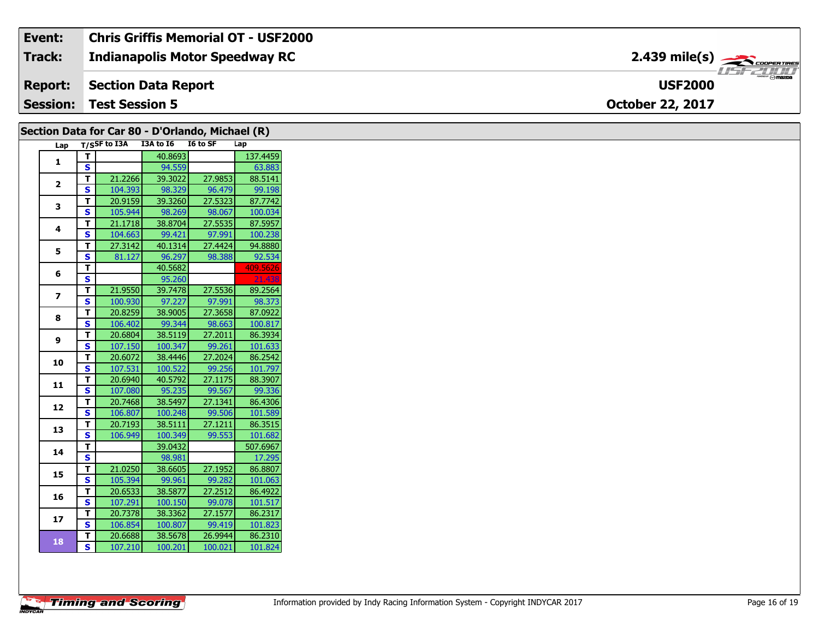#### **Event: Chris Griffis Memorial OT - USF2000 2.439 mile(s)Track: Indianapolis Motor Speedway RC** COOPER TIRES 15721111 **Section Data Report Report: USF2000 Session: Test Session 5 October 22, 2017**

|                |                         | Section Data for Car 80 - D'Orlando, Michael (R) |                   |                   |                   |
|----------------|-------------------------|--------------------------------------------------|-------------------|-------------------|-------------------|
| Lap            |                         | T/SSF to I3A                                     | I3A to I6         | I6 to SF          | Lap               |
| $\mathbf{1}$   | T                       |                                                  | 40.8693           |                   | 137.4459          |
|                | $\overline{\mathbf{s}}$ |                                                  | 94.559            |                   | 63.883            |
| $\mathbf{2}$   | T                       | 21.2266                                          | 39.3022           | 27.9853           | 88.5141           |
|                | S                       | 104.393                                          | 98.329            | 96.479            | 99.198            |
| 3              | T                       | 20.9159                                          | 39.3260           | 27.5323           | 87.7742           |
|                | S                       | 105.944                                          | 98.269            | 98.067            | 100.034           |
| 4              | T                       | 21.1718                                          | 38.8704           | 27.5535           | 87.5957           |
|                | <b>S</b>                | 104.663                                          | 99.421            | 97.991            | 100.238           |
| 5              | T                       | 27.3142                                          | 40.1314           | 27.4424           | 94.8880           |
|                | S                       | 81.127                                           | 96.297            | 98.388            | 92.534            |
| 6              | T.                      |                                                  | 40.5682           |                   | 409.5626          |
|                | S                       |                                                  | 95.260            |                   | 21.438            |
| $\overline{ }$ | T                       | 21.9550                                          | 39.7478           | 27.5536           | 89.2564           |
|                | S                       | 100.930                                          | 97.227            | 97.991            | 98.373            |
| 8              | T                       | 20.8259                                          | 38.9005           | 27.3658           | 87.0922           |
|                | S                       | 106.402                                          | 99.344            | 98.663            | 100.817           |
| 9              | T.                      | 20.6804                                          | 38.5119           | 27.2011           | 86.3934           |
|                | S                       | 107.150                                          | 100.347           | 99.261            | 101.633           |
| 10             | т                       | 20.6072                                          | 38.4446           | 27.2024           | 86.2542           |
|                | $\mathbf{s}$            | 107.531                                          | 100.522           | 99.256            | 101.797           |
| 11             | T<br>S                  | 20.6940<br>107.080                               | 40.5792<br>95.235 | 27.1175<br>99.567 | 88.3907<br>99.336 |
|                | T.                      | 20.7468                                          | 38.5497           | 27.1341           | 86.4306           |
| 12             | S                       | 106.807                                          | 100.248           | 99.506            | 101.589           |
|                | T                       | 20.7193                                          | 38.5111           | 27.1211           | 86.3515           |
| 13             | <b>S</b>                | 106.949                                          | 100.349           | 99.553            | 101.682           |
|                | T                       |                                                  | 39.0432           |                   | 507.6967          |
| 14             | S                       |                                                  | 98.981            |                   | 17.295            |
|                | T                       | 21.0250                                          | 38.6605           | 27.1952           | 86.8807           |
| 15             | S                       | 105.394                                          | 99.961            | 99.282            | 101.063           |
|                | T                       | 20.6533                                          | 38.5877           | 27.2512           | 86.4922           |
| 16             | S                       | 107.291                                          | 100.150           | 99.078            | 101.517           |
|                | T                       | 20.7378                                          | 38.3362           | 27.1577           | 86.2317           |
| 17             | S                       | 106.854                                          | 100.807           | 99.419            | 101.823           |
|                | T.                      | 20.6688                                          | 38.5678           | 26.9944           | 86.2310           |
| 18             | <b>S</b>                | 107.210                                          | 100.201           | 100.021           | 101.824           |
|                |                         |                                                  |                   |                   |                   |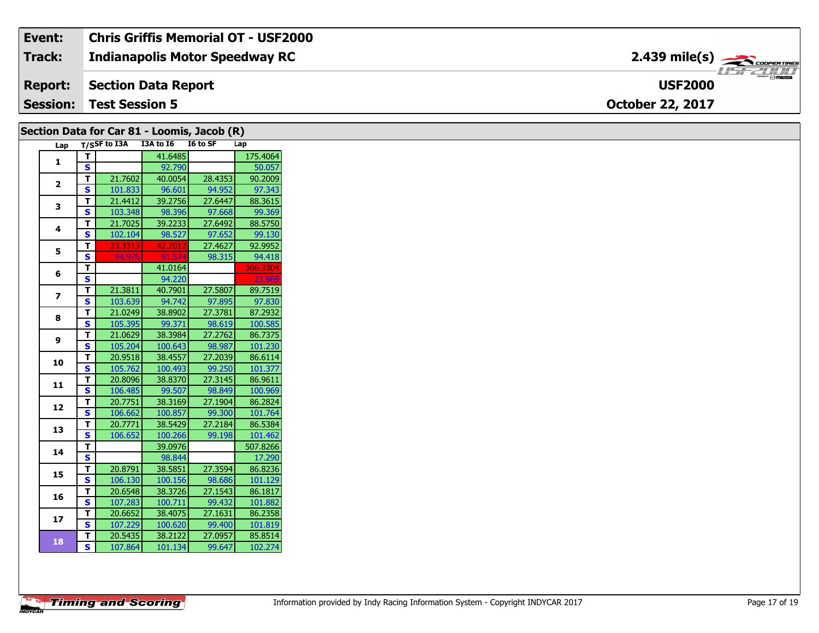#### Event: **Chris Griffis Memorial OT - USF2000**  $2.439$  mile(s)  $\rightarrow$ Track: **Indianapolis Motor Speedway RC** 115771111 **Section Data Report Report: USF2000 Session: Test Session 5 October 22, 2017**

#### Section Data for Car 81 - Loomis, Jacob (R) T/SSF to I3A I3A to I6 I6 to SF  $Lap$ Lap T. 41.6485 175.4064  $\mathbf{1}$ S 92.790 50.057  $\mathbf{T}$ 21.7602 40.0054 28.4353 90.2009  $\overline{2}$  $\overline{\mathbf{s}}$ 101.833 96.601 94.952 97.343  $\overline{\mathbf{r}}$ 21.4412 39.2756 27.6447 88.3615  $\mathbf{3}$ 103.348 98.396  $\overline{\mathbf{s}}$ 97.668 99.369  $\overline{\mathsf{r}}$ 21.7025 39.2233 27.6492 88.5750  $\overline{\mathbf{4}}$  $\mathbf{s}$ 102.104 98.527 97.652 99.130 27.4627 92.9952 T 23.3313 42.201  $\overline{\mathbf{5}}$  $\overline{\mathbf{s}}$ 94.97 91.57 98.315 94.418  $\mathbf{T}$ 41.0164 366.3304 6 S 94.220 T 21.3811 40.7901 27.5807 89.7519  $\overline{z}$  $\overline{\mathbf{s}}$ 103.639 94.742 97.895 97.830 21.0249 38.8902 27.3781 87.2932  $\mathbf{T}$ 8  $\overline{\mathbf{s}}$ 105.395 99.371 98.619 100.585 27.2762  $\overline{\mathsf{T}}$ 38.3984 21.0629 86.7375  $\mathbf{9}$ S 105.204 100.643 98.987 101.230  $\overline{\mathsf{T}}$ 20.9518 38.4557 27.2039 86.6114 10  $\overline{\mathbf{s}}$ 105.762 100.493 99.250 101.377  $\mathbf{T}$ 20.8096 38.8370 27.3145 86.9611  $11$  $\overline{\mathbf{s}}$ 106.485 99.507 98.849 100.969  $\mathbf{T}$ 20.7751 38.3169 27.1904 86.2824  $12$  $\overline{\mathbf{s}}$ 106.662 100.857 99.300 101.764  $\overline{\mathsf{r}}$ 20.7771 38.5429 27.2184 86.5384 13  $\overline{\mathbf{s}}$ 106.652 100.266 99.198 101.462  $\overline{\mathbf{T}}$ 39.0976 507.8266 14  $\overline{\mathbf{s}}$ 98.844 17.290  $\overline{\mathsf{T}}$ 20.8791 38.5851 27.3594 86.8236 15  $\overline{\mathbf{s}}$ 106.130 100.156 98.686 101.129 27.1543  $\mathbf{T}$ 20.6548 38.3726 86.1817 16  $\overline{\mathbf{s}}$ 100.711 99.432 101.882 107.283  $\mathbf{T}$ 20.6652 38.4075 27.1631 86.2358  $17$  $\overline{\mathbf{s}}$ 107.229 100.620 99.400 101.819 38.2122 27.0957 85.8514 T. 20.5435 18  $\overline{\mathbf{s}}$ 101.134 99.647 102.274 107.864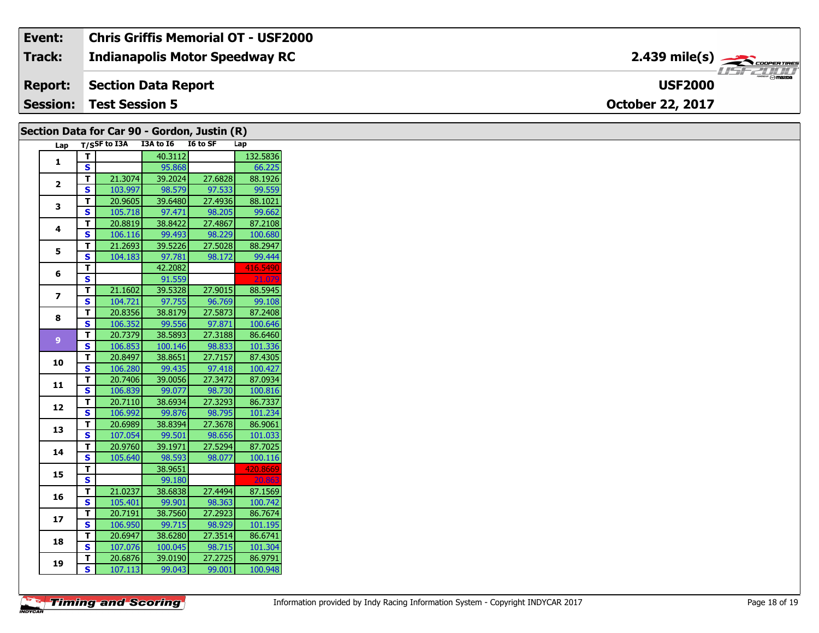#### **Event: Chris Griffis Memorial OT - USF2000 2.439 mile(s)Track: Indianapolis Motor Speedway RC** COOPER TIRES 15721111 **Section Data Report USF2000 Report: Session: Test Session 5 October 22, 2017**

|                         |                         | Section Data for Car 90 - Gordon, Justin (R) |         |          |          |
|-------------------------|-------------------------|----------------------------------------------|---------|----------|----------|
| Lap                     |                         | T/SSF to I3A I3A to I6                       |         | I6 to SF | Lap      |
|                         | T                       |                                              | 40.3112 |          | 132.5836 |
| $\mathbf{1}$            | S                       |                                              | 95.868  |          | 66.225   |
| $\mathbf{2}$            | т                       | 21.3074                                      | 39.2024 | 27.6828  | 88.1926  |
|                         | S                       | 103.997                                      | 98.579  | 97.533   | 99.559   |
| 3                       | T                       | 20.9605                                      | 39.6480 | 27.4936  | 88.1021  |
|                         | S                       | 105.718                                      | 97.471  | 98.205   | 99.662   |
| 4                       | T                       | 20.8819                                      | 38.8422 | 27.4867  | 87.2108  |
|                         | S                       | 106.116                                      | 99.493  | 98.229   | 100.680  |
| 5                       | T                       | 21.2693                                      | 39.5226 | 27.5028  | 88.2947  |
|                         | S                       | 104.183                                      | 97.781  | 98.172   | 99.444   |
| 6                       | T                       |                                              | 42.2082 |          | 416.5490 |
|                         | $\overline{\mathbf{s}}$ |                                              | 91.559  |          | 21.07    |
| $\overline{\mathbf{z}}$ | T.                      | 21.1602                                      | 39.5328 | 27.9015  | 88.5945  |
|                         | S                       | 104.721                                      | 97.755  | 96.769   | 99.108   |
| 8                       | т                       | 20.8356                                      | 38.8179 | 27.5873  | 87.2408  |
|                         | S                       | 106.352                                      | 99.556  | 97.871   | 100.646  |
| 9 <sup>°</sup>          | T                       | 20.7379                                      | 38.5893 | 27.3188  | 86.6460  |
|                         | S                       | 106.853                                      | 100.146 | 98.833   | 101.336  |
| 10                      | T.                      | 20.8497                                      | 38.8651 | 27.7157  | 87.4305  |
|                         | S                       | 106.280                                      | 99.435  | 97.418   | 100.427  |
| 11                      | T                       | 20.7406                                      | 39.0056 | 27.3472  | 87.0934  |
|                         | S                       | 106.839                                      | 99.077  | 98.730   | 100.816  |
| 12                      | T                       | 20.7110                                      | 38.6934 | 27.3293  | 86.7337  |
|                         | S                       | 106.992                                      | 99.876  | 98.795   | 101.234  |
| 13                      | T                       | 20.6989                                      | 38.8394 | 27.3678  | 86.9061  |
|                         | $\overline{\mathbf{s}}$ | 107.054                                      | 99.501  | 98.656   | 101.033  |
| 14                      | т                       | 20.9760                                      | 39.1971 | 27.5294  | 87.7025  |
|                         | $\mathbf{s}$            | 105.640                                      | 98.593  | 98.077   | 100.116  |
| 15                      | T.                      |                                              | 38.9651 |          | 420.8669 |
|                         | $\overline{\mathbf{s}}$ |                                              | 99.180  |          | 20.8     |
| 16                      | T                       | 21.0237                                      | 38.6838 | 27.4494  | 87.1569  |
|                         | S                       | 105.401                                      | 99.901  | 98.363   | 100.742  |
| 17                      | т                       | 20.7191                                      | 38.7560 | 27.2923  | 86.7674  |
|                         | S                       | 106.950                                      | 99.715  | 98.929   | 101.195  |
| 18                      | T                       | 20.6947                                      | 38.6280 | 27.3514  | 86.6741  |
|                         | <b>S</b>                | 107.076                                      | 100.045 | 98.715   | 101.304  |
| 19                      | т                       | 20.6876                                      | 39.0190 | 27.2725  | 86.9791  |
|                         | S                       | 107.113                                      | 99.043  | 99.001   | 100.948  |